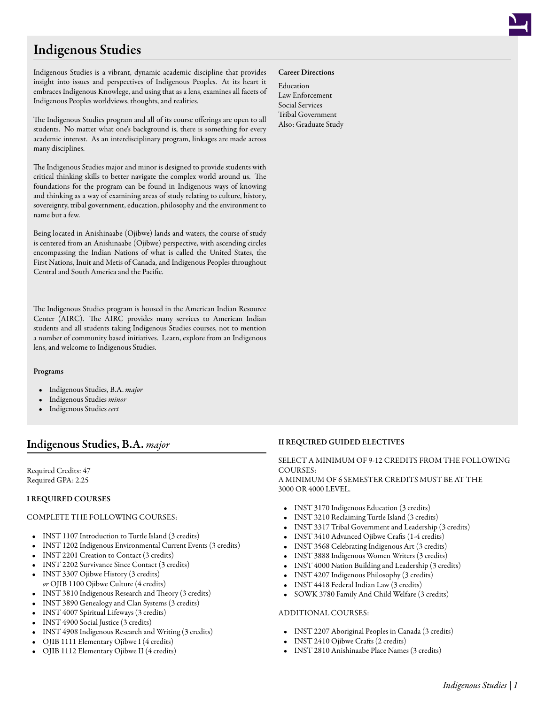# Indigenous Studies

Indigenous Studies is a vibrant, dynamic academic discipline that provides insight into issues and perspectives of Indigenous Peoples. At its heart it embraces Indigenous Knowlege, and using that as a lens, examines all facets of Indigenous Peoples worldviews, thoughts, and realities.

The Indigenous Studies program and all of its course offerings are open to all students. No matter what one's background is, there is something for every academic interest. As an interdisciplinary program, linkages are made across many disciplines.

The Indigenous Studies major and minor is designed to provide students with critical thinking skills to better navigate the complex world around us. The foundations for the program can be found in Indigenous ways of knowing and thinking as a way of examining areas of study relating to culture, history, sovereignty, tribal government, education, philosophy and the environment to name but a few.

Being located in Anishinaabe (Ojibwe) lands and waters, the course of study is centered from an Anishinaabe (Ojibwe) perspective, with ascending circles encompassing the Indian Nations of what is called the United States, the First Nations, Inuit and Metis of Canada, and Indigenous Peoples throughout Central and South America and the Pacific.

The Indigenous Studies program is housed in the American Indian Resource Center (AIRC). The AIRC provides many services to American Indian students and all students taking Indigenous Studies courses, not to mention a number of community based initiatives. Learn, explore from an Indigenous lens, and welcome to Indigenous Studies.

#### Programs

- Indigenous Studies, B.A. *major*
- Indigenous Studies *minor*
- Indigenous Studies *cert*

# Indigenous Studies, B.A. *major*

Required Credits: 47 Required GPA: 2.25

#### I REQUIRED COURSES

#### COMPLETE THE FOLLOWING COURSES:

- INST 1107 [Introduction to Turtle Island](/academics/catalog/20193/courses/inst/1107) (3 credits)
- INST 1202 [Indigenous Environmental Current Events](/academics/catalog/20193/courses/inst/1202) (3 credits)
- INST 2201 [Creation to Contact](/academics/catalog/20193/courses/inst/2201) (3 credits)
- INST 2202 [Survivance Since Contact](/academics/catalog/20193/courses/inst/2202) (3 credits)
- INST 3307 [Ojibwe History](/academics/catalog/20193/courses/inst/3307) (3 credits) *or* OJIB 1100 [Ojibwe Culture](/academics/catalog/20193/courses/ojib/1100) (4 credits)
- INST 3810 [Indigenous Research and Theory](/academics/catalog/20193/courses/inst/3810) (3 credits)
- INST 3890 [Genealogy and Clan Systems](/academics/catalog/20193/courses/inst/3890) (3 credits)
- INST 4007 [Spiritual Lifeways](/academics/catalog/20193/courses/inst/4007) (3 credits)
- INST 4900 [Social Justice](/academics/catalog/20193/courses/inst/4900) (3 credits)
- INST 4908 [Indigenous Research and Writing](/academics/catalog/20193/courses/inst/4908) (3 credits)
- OJIB 1111 [Elementary Ojibwe I](/academics/catalog/20193/courses/ojib/1111) (4 credits)
- OJIB 1112 [Elementary Ojibwe II](/academics/catalog/20193/courses/ojib/1112) (4 credits)

#### Career Directions

Education Law Enforcement Social Services Tribal Government Also: Graduate Study

# II REQUIRED GUIDED ELECTIVES

#### SELECT A MINIMUM OF 9-12 CREDITS FROM THE FOLLOWING COURSES: A MINIMUM OF 6 SEMESTER CREDITS MUST BE AT THE 3000 OR 4000 LEVEL.

- INST 3170 [Indigenous Education](/academics/catalog/20193/courses/inst/3170) (3 credits)
- INST 3210 [Reclaiming Turtle Island](/academics/catalog/20193/courses/inst/3210) (3 credits)
- INST 3317 [Tribal Government and Leadership](/academics/catalog/20193/courses/inst/3317) (3 credits)
- INST 3410 [Advanced Ojibwe Crafts](/academics/catalog/20193/courses/inst/3410) (1-4 credits)
- INST 3568 [Celebrating Indigenous Art](/academics/catalog/20193/courses/inst/3568) (3 credits)
- INST 3888 [Indigenous Women Writers](/academics/catalog/20193/courses/inst/3888) (3 credits)
- INST 4000 [Nation Building and Leadership](/academics/catalog/20193/courses/inst/4000) (3 credits)
- INST 4207 [Indigenous Philosophy](/academics/catalog/20193/courses/inst/4207) (3 credits)
- INST 4418 [Federal Indian Law](/academics/catalog/20193/courses/inst/4418) (3 credits)
- SOWK 3780 [Family And Child Welfare](/academics/catalog/20193/courses/sowk/3780) (3 credits)

#### ADDITIONAL COURSES:

- INST 2207 [Aboriginal Peoples in Canada](/academics/catalog/20193/courses/inst/2207) (3 credits)
- INST 2410 [Ojibwe Crafts](/academics/catalog/20193/courses/inst/2410) (2 credits)
- INST 2810 [Anishinaabe Place Names](/academics/catalog/20193/courses/inst/2810) (3 credits)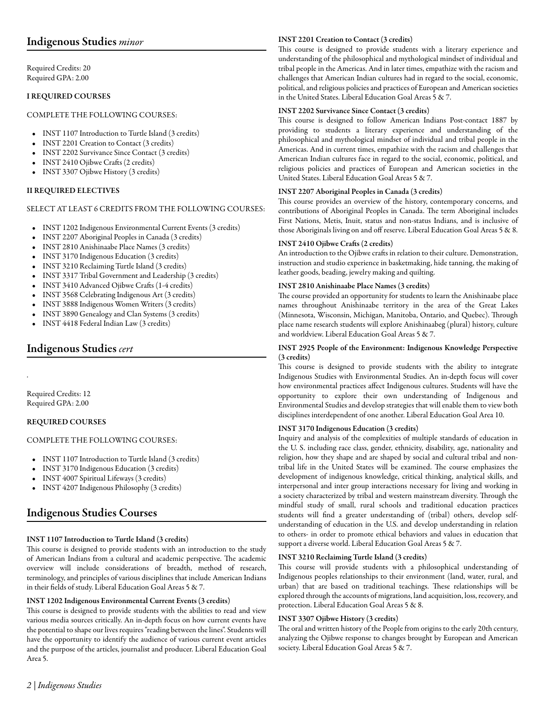# Indigenous Studies *minor*

Required Credits: 20 Required GPA: 2.00

# I REQUIRED COURSES

#### COMPLETE THE FOLLOWING COURSES:

- INST 1107 [Introduction to Turtle Island](/academics/catalog/20193/courses/inst/1107) (3 credits)
- INST 2201 [Creation to Contact](/academics/catalog/20193/courses/inst/2201) (3 credits)
- INST 2202 [Survivance Since Contact](/academics/catalog/20193/courses/inst/2202) (3 credits)
- INST 2410 [Ojibwe Crafts](/academics/catalog/20193/courses/inst/2410) (2 credits)
- INST 3307 [Ojibwe History](/academics/catalog/20193/courses/inst/3307) (3 credits)

# II REQUIRED ELECTIVES

#### SELECT AT LEAST 6 CREDITS FROM THE FOLLOWING COURSES:

- INST 1202 [Indigenous Environmental Current Events](/academics/catalog/20193/courses/inst/1202) (3 credits)
- INST 2207 [Aboriginal Peoples in Canada](/academics/catalog/20193/courses/inst/2207) (3 credits)
- INST 2810 [Anishinaabe Place Names](/academics/catalog/20193/courses/inst/2810) (3 credits)
- INST 3170 [Indigenous Education](/academics/catalog/20193/courses/inst/3170) (3 credits)
- INST 3210 [Reclaiming Turtle Island](/academics/catalog/20193/courses/inst/3210) (3 credits)
- INST 3317 [Tribal Government and Leadership](/academics/catalog/20193/courses/inst/3317) (3 credits)
- INST 3410 [Advanced Ojibwe Crafts](/academics/catalog/20193/courses/inst/3410) (1-4 credits)
- INST 3568 [Celebrating Indigenous Art](/academics/catalog/20193/courses/inst/3568) (3 credits)
- INST 3888 [Indigenous Women Writers](/academics/catalog/20193/courses/inst/3888) (3 credits)
- INST 3890 [Genealogy and Clan Systems](/academics/catalog/20193/courses/inst/3890) (3 credits)
- INST 4418 [Federal Indian Law](/academics/catalog/20193/courses/inst/4418) (3 credits)

# Indigenous Studies *cert*

Required Credits: 12 Required GPA: 2.00

.

# REQUIRED COURSES

# COMPLETE THE FOLLOWING COURSES:

- INST 1107 [Introduction to Turtle Island](/academics/catalog/20193/courses/inst/1107) (3 credits)
- INST 3170 [Indigenous Education](/academics/catalog/20193/courses/inst/3170) (3 credits)
- INST 4007 [Spiritual Lifeways](/academics/catalog/20193/courses/inst/4007) (3 credits)
- INST 4207 [Indigenous Philosophy](/academics/catalog/20193/courses/inst/4207) (3 credits)

# Indigenous Studies Courses

# INST 1107 Introduction to Turtle Island (3 credits)

This course is designed to provide students with an introduction to the study of American Indians from a cultural and academic perspective. The academic overview will include considerations of breadth, method of research, terminology, and principles of various disciplines that include American Indians in their fields of study. Liberal Education Goal Areas 5 & 7.

# INST 1202 Indigenous Environmental Current Events (3 credits)

This course is designed to provide students with the abilities to read and view various media sources critically. An in-depth focus on how current events have the potential to shape our lives requires "reading between the lines". Students will have the opportunity to identify the audience of various current event articles and the purpose of the articles, journalist and producer. Liberal Education Goal Area 5.

#### INST 2201 Creation to Contact (3 credits)

This course is designed to provide students with a literary experience and understanding of the philosophical and mythological mindset of individual and tribal people in the Americas. And in later times, empathize with the racism and challenges that American Indian cultures had in regard to the social, economic, political, and religious policies and practices of European and American societies in the United States. Liberal Education Goal Areas 5 & 7.

#### INST 2202 Survivance Since Contact (3 credits)

This course is designed to follow American Indians Post-contact 1887 by providing to students a literary experience and understanding of the philosophical and mythological mindset of individual and tribal people in the Americas. And in current times, empathize with the racism and challenges that American Indian cultures face in regard to the social, economic, political, and religious policies and practices of European and American societies in the United States. Liberal Education Goal Areas 5 & 7.

# INST 2207 Aboriginal Peoples in Canada (3 credits)

This course provides an overview of the history, contemporary concerns, and contributions of Aboriginal Peoples in Canada. The term Aboriginal includes First Nations, Metis, Inuit, status and non-status Indians, and is inclusive of those Aboriginals living on and off reserve. Liberal Education Goal Areas 5 & 8.

#### INST 2410 Ojibwe Crafts (2 credits)

An introduction to the Ojibwe crafts in relation to their culture. Demonstration, instruction and studio experience in basketmaking, hide tanning, the making of leather goods, beading, jewelry making and quilting.

# INST 2810 Anishinaabe Place Names (3 credits)

The course provided an opportunity for students to learn the Anishinaabe place names throughout Anishinaabe territory in the area of the Great Lakes (Minnesota, Wisconsin, Michigan, Manitoba, Ontario, and Quebec). Through place name research students will explore Anishinaabeg (plural) history, culture and worldview. Liberal Education Goal Areas 5 & 7.

#### INST 2925 People of the Environment: Indigenous Knowledge Perspective (3 credits)

This course is designed to provide students with the ability to integrate Indigenous Studies with Environmental Studies. An in-depth focus will cover how environmental practices affect Indigenous cultures. Students will have the opportunity to explore their own understanding of Indigenous and Environmental Studies and develop strategies that will enable them to view both disciplines interdependent of one another. Liberal Education Goal Area 10.

# INST 3170 Indigenous Education (3 credits)

Inquiry and analysis of the complexities of multiple standards of education in the U. S. including race class, gender, ethnicity, disability, age, nationality and religion, how they shape and are shaped by social and cultural tribal and nontribal life in the United States will be examined. The course emphasizes the development of indigenous knowledge, critical thinking, analytical skills, and interpersonal and inter group interactions necessary for living and working in a society characterized by tribal and western mainstream diversity. Through the mindful study of small, rural schools and traditional education practices students will find a greater understanding of (tribal) others, develop selfunderstanding of education in the U.S. and develop understanding in relation to others- in order to promote ethical behaviors and values in education that support a diverse world. Liberal Education Goal Areas 5 & 7.

# INST 3210 Reclaiming Turtle Island (3 credits)

This course will provide students with a philosophical understanding of Indigenous peoples relationships to their environment (land, water, rural, and urban) that are based on traditional teachings. These relationships will be explored through the accounts of migrations, land acquisition, loss, recovery, and protection. Liberal Education Goal Areas 5 & 8.

# INST 3307 Ojibwe History (3 credits)

The oral and written history of the People from origins to the early 20th century, analyzing the Ojibwe response to changes brought by European and American society. Liberal Education Goal Areas 5 & 7.